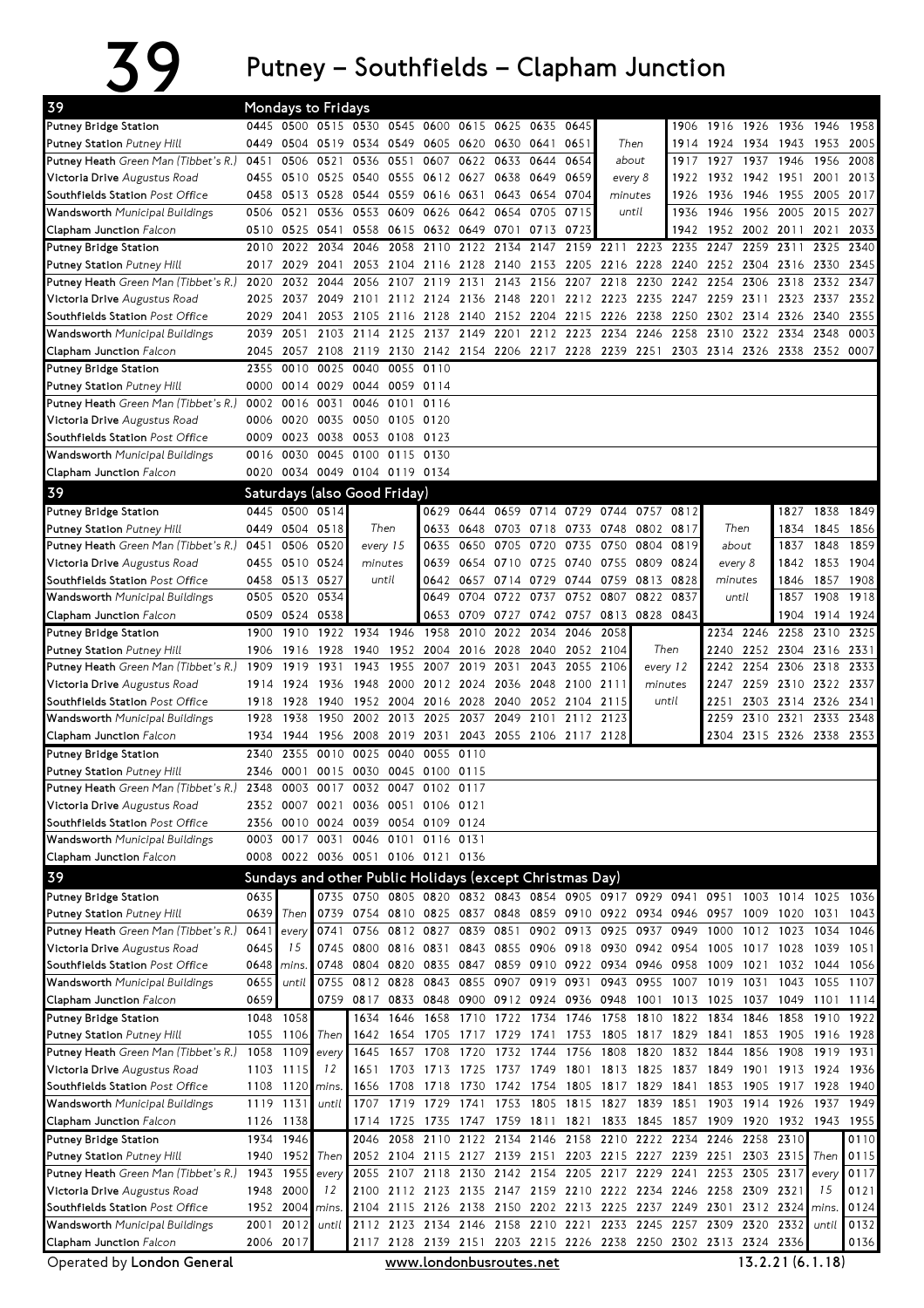## $39$  Putney – Southfields – Clapham Junction

| 39                                                                          |              |                   | <b>Mondays to Fridays</b>                                |                   |           |                                                                                    |              |                          |                |                     |                                    |                |                |              |           |                             |           |                                                              |
|-----------------------------------------------------------------------------|--------------|-------------------|----------------------------------------------------------|-------------------|-----------|------------------------------------------------------------------------------------|--------------|--------------------------|----------------|---------------------|------------------------------------|----------------|----------------|--------------|-----------|-----------------------------|-----------|--------------------------------------------------------------|
| Putney Bridge Station                                                       |              | 0445 0500         |                                                          |                   |           | 0515 0530 0545 0600                                                                | 0615         | 0625                     | 0635           | 0645                |                                    |                | 1906           |              |           | 1916 1926 1936 1946 1958    |           |                                                              |
| <b>Putney Station</b> Putney Hill                                           | 0449         |                   | 0504 0519 0534                                           |                   |           | 0549 0605 0620                                                                     |              | 0630 0641                |                | 0651                | Then                               |                | 1914           |              |           | 1924 1934 1943 1953         |           | 2005                                                         |
| <b>Putney Heath</b> Green Man (Tibbet's R.)                                 | 0451         | 0506              | 0521                                                     | 0536              | 0551      | 0607                                                                               | 0622         | 0633                     | 0644           | 0654                |                                    | about          |                | 1927         | 1937 1946 |                             | 1956      | 2008                                                         |
| <b>Victoria Drive</b> Augustus Road                                         | 0455         |                   | 0510 0525 0540                                           |                   | 0555      | 0612 0627                                                                          |              |                          | 0638 0649      | 0659                |                                    | every 8        | 1922           |              |           | 1932 1942 1951              | 2001      | 2013                                                         |
| Southfields Station Post Office                                             | 0458         |                   | 0513 0528 0544                                           |                   | 0559      | 0616 0631                                                                          |              |                          | 0643 0654      | 0704                |                                    | minutes        | 1926           | 1936         |           | 1946 1955 2005              |           | 2017                                                         |
| Wandsworth Municipal Buildings                                              | 0506         | 0521              | 0536                                                     | 0553              | 0609      | 0626                                                                               | 0642         | 0654 0705                |                | 0715                |                                    | until          | 1936           | 1946         |           | 1956 2005 2015              |           | 2027                                                         |
| <b>Clapham Junction</b> Falcon                                              | 0510         | 0525              | 0541                                                     | 0558              | 0615      | 0632 0649                                                                          |              | 0701                     | 0713           | 0723                |                                    |                | 1942           | 1952         |           | 2002 2011                   | 2021      | 2033                                                         |
| Putney Bridge Station                                                       | 2010         | 2022              | 2034                                                     | 2046              | 2058      | 2110                                                                               | 2122         | 2134                     | 2147           |                     | 2159 2211                          |                | 2223 2235      | 2247         | 2259      | 2311                        | 2325      | 2340                                                         |
| <b>Putney Station</b> Putney Hill                                           | 2017         | 2029              | 2041                                                     | 2053              |           | 2104 2116 2128                                                                     |              |                          |                |                     | 2140 2153 2205 2216 2228 2240      |                |                | 2252         | 2304      | 2316 2330                   |           | 2345                                                         |
| <b>Putney Heath</b> Green Man (Tibbet's R.)                                 | 2020         | 2032              | 2044                                                     | 2056              | 2107      | 2119                                                                               | 2131         | 2143                     | 2156           |                     | 2207 2218                          | 2230           | 2242           | 2254         | 2306      | 2318                        | 2332      | 2347                                                         |
| <b>Victoria Drive</b> Augustus Road                                         | 2025         | 2037              |                                                          | 2049 2101         |           | 2112 2124 2136 2148 2201 2212 2223 2235 2247 2259                                  |              |                          |                |                     |                                    |                |                |              | 2311      | 2323 2337                   |           | 2352                                                         |
| Southfields Station Post Office                                             | 2029         | 2041              |                                                          |                   |           | 2053 2105 2116 2128 2140                                                           |              |                          |                |                     | 2152 2204 2215 2226 2238 2250 2302 |                |                |              |           | 2314 2326 2340              |           | 2355                                                         |
| Wandsworth Municipal Buildings                                              | 2039         | 2051              |                                                          | 2103 2114         |           | 2125 2137 2149                                                                     |              |                          |                |                     | 2201 2212 2223 2234                |                | 2246 2258      | 2310         |           | 2322 2334 2348              |           | 0003                                                         |
| <b>Clapham Junction Falcon</b>                                              | 2045         | 2057              |                                                          | 2108 2119         |           | 2130 2142 2154 2206 2217 2228 2239 2251 2303 2314 2326 2338 2352 0007              |              |                          |                |                     |                                    |                |                |              |           |                             |           |                                                              |
| Putney Bridge Station                                                       | 2355         | 0010              | 0025                                                     | 0040              | 0055      | 0110                                                                               |              |                          |                |                     |                                    |                |                |              |           |                             |           |                                                              |
| <b>Putney Station</b> Putney Hill                                           | 0000         |                   | 0014 0029                                                | 0044              |           | 0059 0114                                                                          |              |                          |                |                     |                                    |                |                |              |           |                             |           |                                                              |
| Putney Heath Green Man (Tibbet's R.)                                        | 0002         | 0016              | 0031                                                     | 0046              | 0101      | 0116                                                                               |              |                          |                |                     |                                    |                |                |              |           |                             |           |                                                              |
| <b>Victoria Drive</b> Augustus Road                                         | 0006         | 0020              | 0035                                                     | 0050              |           | 0105 0120                                                                          |              |                          |                |                     |                                    |                |                |              |           |                             |           |                                                              |
| Southfields Station Post Office                                             | 0009         |                   | 0023 0038                                                | 0053              | 0108 0123 |                                                                                    |              |                          |                |                     |                                    |                |                |              |           |                             |           |                                                              |
| Wandsworth Municipal Buildings                                              | 0016         | 0030              |                                                          | 0045 0100         | 0115      | 0130                                                                               |              |                          |                |                     |                                    |                |                |              |           |                             |           |                                                              |
| Clapham Junction Falcon                                                     |              |                   | 0020 0034 0049 0104 0119 0134                            |                   |           |                                                                                    |              |                          |                |                     |                                    |                |                |              |           |                             |           |                                                              |
| 39                                                                          |              |                   | Saturdays (also Good Friday)                             |                   |           |                                                                                    |              |                          |                |                     |                                    |                |                |              |           |                             |           |                                                              |
| <b>Putney Bridge Station</b>                                                |              |                   | 0445 0500 0514                                           |                   |           |                                                                                    | 0629 0644    |                          |                | 0659 0714 0729 0744 |                                    | 0757           | 0812           |              |           | 1827                        | 1838      | 1849                                                         |
| <b>Putney Station</b> Putney Hill                                           |              | 0449 0504 0518    |                                                          | Then              |           | 0633                                                                               | 0648         | 0703 0718                |                | 0733                | 0748                               | 0802           | 0817           |              | Then      | 1834                        | 1845      | 1856                                                         |
| <b>Putney Heath</b> Green Man (Tibbet's R.)                                 | 0451         | 0506              | 0520                                                     |                   | every 15  | 0635                                                                               | 0650         | 0705                     | 0720           | 0735                | 0750                               | 0804           | 0819           |              | about     | 1837                        | 1848      | 1859                                                         |
| Victoria Drive Augustus Road                                                |              | 0455 0510 0524    |                                                          | minutes           |           | 0639                                                                               | 0654         |                          | 0710 0725 0740 |                     | 0755                               | 0809           | 0824           |              | every 8   | 1842                        | 1853      | 1904                                                         |
| Southfields Station Post Office                                             |              | 0458 0513 0527    |                                                          | until             |           |                                                                                    | 0642 0657    | 0714 0729                |                | 0744                | 0759                               | 0813 0828      |                | minutes      |           | 1846                        | 1857 1908 |                                                              |
| <b>Wandsworth</b> Municipal Buildings                                       |              | 0505 0520         | 0534                                                     |                   |           | 0649                                                                               | 0704         | 0722 0737                |                | 0752                | 0807                               | 0822           | 0837           | until        |           | 1857                        | 1908      | 1918                                                         |
| <b>Clapham Junction Falcon</b>                                              |              | 0509 0524         | 0538                                                     |                   |           |                                                                                    | 0653 0709    |                          |                |                     | 0727 0742 0757 0813 0828 0843      |                |                |              |           | 1904                        | 1914 1924 |                                                              |
| Putney Bridge Station                                                       | 1900         | 1910              | 1922                                                     | 1934              | 1946      | 1958                                                                               | 2010         | 2022                     | 2034           | 2046                | 2058                               |                |                | 2234         | 2246      | 2258                        | 2310      | 2325                                                         |
| <b>Putney Station</b> Putney Hill                                           | 1906         | 1916              | 1928                                                     | 1940              | 1952      | 2004                                                                               | 2016         | 2028                     | 2040           | 2052                | 2104                               |                | Then           | 2240         |           | 2252 2304 2316              |           | 2331                                                         |
| <b>Putney Heath</b> Green Man (Tibbet's R.)                                 | 1909         | 1919              | 1931                                                     | 1943              | 1955      | 2007                                                                               | 2019         | 2031                     | 2043           | 2055                | 2106                               |                | every 12       | 2242         | 2254      | 2306 2318                   |           | 2333                                                         |
| Victoria Drive Augustus Road                                                | 1914         | 1924              | 1936                                                     | 1948              | 2000      | 2012 2024                                                                          |              | 2036                     | 2048           | 2100 2111           |                                    |                | minutes        | 2247         |           | 2259 2310 2322 2337         |           |                                                              |
| Southfields Station Post Office                                             | 1918<br>1928 | 1928<br>1938      | 1940<br>1950                                             | 1952<br>2002      |           | 2004 2016<br>2013 2025                                                             | 2028<br>2037 | 2040<br>2049             | 2101           | 2052 2104 2115      | 2112 2123                          |                | until          | 2251<br>2259 |           | 2303 2314 2326<br>2310 2321 | 2333      | 2341<br>2348                                                 |
| <b>Wandsworth</b> Municipal Buildings<br>Clapham Junction Falcon            | 1934         | 1944              | 1956                                                     | 2008              |           | 2019 2031                                                                          |              | 2043 2055 2106 2117 2128 |                |                     |                                    |                |                |              |           | 2304 2315 2326 2338 2353    |           |                                                              |
|                                                                             | 2340         | 2355              | 0010 0025                                                |                   | 0040      | 0055 0110                                                                          |              |                          |                |                     |                                    |                |                |              |           |                             |           |                                                              |
| Putney Bridge Station<br><b>Putney Station</b> Putney Hill                  | 2346         | 0001              | 0015                                                     | 0030              | 0045      | 0100                                                                               | 0115         |                          |                |                     |                                    |                |                |              |           |                             |           |                                                              |
| Putney Heath Green Man (Tibbet's R.) 2348 0003 0017 0032 0047 0102 0117     |              |                   |                                                          |                   |           |                                                                                    |              |                          |                |                     |                                    |                |                |              |           |                             |           |                                                              |
| <b>Victoria Drive</b> Augustus Road                                         |              |                   | 2352 0007 0021 0036 0051 0106 0121                       |                   |           |                                                                                    |              |                          |                |                     |                                    |                |                |              |           |                             |           |                                                              |
| Southfields Station Post Office                                             | 2356         |                   | 0010 0024 0039 0054 0109 0124                            |                   |           |                                                                                    |              |                          |                |                     |                                    |                |                |              |           |                             |           |                                                              |
| Wandsworth Municipal Buildings                                              |              |                   | 0003 0017 0031 0046                                      |                   |           | 0101 0116 0131                                                                     |              |                          |                |                     |                                    |                |                |              |           |                             |           |                                                              |
| Clapham Junction Falcon                                                     |              |                   | 0008 0022 0036 0051 0106 0121 0136                       |                   |           |                                                                                    |              |                          |                |                     |                                    |                |                |              |           |                             |           |                                                              |
| 39                                                                          |              |                   |                                                          |                   |           |                                                                                    |              |                          |                |                     |                                    |                |                |              |           |                             |           |                                                              |
|                                                                             |              |                   | Sundays and other Public Holidays (except Christmas Day) |                   |           |                                                                                    |              |                          |                |                     |                                    |                |                |              |           |                             |           |                                                              |
| Putney Bridge Station                                                       | 0635         |                   |                                                          |                   |           | 0735 0750 0805 0820 0832 0843 0854 0905 0917 0929 0941                             |              |                          |                |                     |                                    |                |                |              |           | 0951 1003 1014 1025 1036    |           |                                                              |
| Putney Station Putney Hill                                                  | 0639<br>0641 | Then              | 0741                                                     | 0739 0754<br>0756 |           | 0810 0825 0837 0848 0859 0910 0922 0934 0946 0957 1009 1020 1031 1043<br>0812 0827 | 0839         | 0851                     |                |                     | 0902 0913 0925 0937                |                | 0949           | 1000         |           | 1012 1023 1034              |           | 1046                                                         |
| <b>Putney Heath</b> Green Man (Tibbet's R.)<br>Victoria Drive Augustus Road | 0645         | every<br>15       |                                                          | 0745 0800         |           | 0816 0831                                                                          | 0843         |                          |                |                     | 0855 0906 0918 0930 0942 0954      |                |                | 1005         | 1017 1028 |                             | 1039      | 1051                                                         |
| Southfields Station Post Office                                             | 0648         | mins.             |                                                          | 0748 0804         |           | 0820 0835 0847 0859 0910 0922 0934 0946 0958 1009                                  |              |                          |                |                     |                                    |                |                |              | 1021      | 1032                        | 1044 1056 |                                                              |
| Wandsworth Municipal Buildings                                              | 0655         | until             | 0755                                                     | 0812 0828         |           | 0843                                                                               | 0855         | 0907 0919 0931           |                |                     |                                    | 0943 0955 1007 |                | 1019         | 1031      | 1043                        | 1055      | 1107                                                         |
| Clapham Junction Falcon                                                     | 0659         |                   |                                                          |                   |           | 0759 0817 0833 0848 0900 0912 0924 0936 0948 1001 1013 1025                        |              |                          |                |                     |                                    |                |                |              |           | 1037 1049 1101 1114         |           |                                                              |
| Putney Bridge Station                                                       |              | 1048 1058         |                                                          | 1634              | 1646      |                                                                                    |              | 1658 1710 1722 1734 1746 |                |                     | 1758                               |                | 1810 1822 1834 |              | 1846      | 1858                        | 1910 1922 |                                                              |
| Putney Station Putney Hill                                                  |              | 1055 1106         | Then                                                     | 1642              |           | 1654 1705 1717 1729 1741 1753 1805 1817 1829 1841                                  |              |                          |                |                     |                                    |                |                |              |           | 1853 1905 1916 1928         |           |                                                              |
| <b>Putney Heath</b> Green Man (Tibbet's R.)                                 | 1058         | 1109              | every                                                    | 1645              | 1657      | 1708                                                                               | 1720         |                          | 1732 1744      | 1756                | 1808                               | 1820           | 1832 1844      |              |           | 1856 1908                   | 1919      | 1931                                                         |
| Victoria Drive Augustus Road                                                |              | 1103 1115         | 12                                                       | 1651              |           | 1703 1713 1725                                                                     |              |                          |                |                     | 1737 1749 1801 1813 1825 1837 1849 |                |                |              |           | 1901 1913 1924 1936         |           |                                                              |
| Southfields Station Post Office                                             |              | 1108 1120 mins.   |                                                          | 1656              | 1708      | 1718                                                                               | 1730         |                          |                |                     | 1742 1754 1805 1817 1829 1841      |                |                | 1853         |           | 1905 1917 1928              |           | 1940                                                         |
|                                                                             |              |                   |                                                          | 1707              |           | 1719 1729 1741 1753 1805 1815 1827 1839 1851                                       |              |                          |                |                     |                                    |                |                |              |           | 1903 1914 1926 1937         |           | 1949                                                         |
|                                                                             |              | 1119 1131         | until                                                    |                   |           |                                                                                    |              |                          |                |                     |                                    |                |                |              |           |                             |           |                                                              |
| <b>Wandsworth</b> Municipal Buildings                                       |              |                   |                                                          |                   |           |                                                                                    |              |                          |                |                     |                                    |                |                |              |           |                             |           |                                                              |
| Clapham Junction Falcon                                                     |              | 1126 1138         |                                                          |                   |           | 1714 1725 1735 1747 1759 1811 1821 1833 1845 1857 1909                             |              |                          |                |                     |                                    |                |                |              |           | 1920 1932 1943              |           |                                                              |
| Putney Bridge Station                                                       |              | 1934 1946         | Then                                                     | 2046              |           | 2058 2110 2122 2134 2146 2158 2210 2222 2234 2246                                  |              |                          |                |                     |                                    |                |                |              | 2258 2310 | 2303 2315                   | Then      |                                                              |
| Putney Station Putney Hill                                                  | 1943         | 1940 1952<br>1955 | every                                                    | 2055              |           | 2052 2104 2115 2127 2139 2151 2203 2215 2227 2239 2251<br>2107 2118 2130           |              |                          |                |                     | 2142 2154 2205 2217                | 2229 2241      |                | 2253         | 2305 2317 |                             | every     |                                                              |
| Putney Heath Green Man (Tibbet's R.)<br>Victoria Drive Augustus Road        |              | 1948 2000         | 12                                                       | 2100              |           | 2112 2123 2135 2147 2159 2210 2222 2234 2246 2258                                  |              |                          |                |                     |                                    |                |                |              | 2309 2321 |                             | 15        |                                                              |
| Southfields Station Post Office                                             |              | 1952 2004         | mins.                                                    | 2104              |           | 2115 2126 2138                                                                     |              |                          |                |                     | 2150 2202 2213 2225 2237 2249 2301 |                |                |              |           | 2312 2324 mins.             |           |                                                              |
| Wandsworth Municipal Buildings                                              | 2001         | 2012              | until                                                    |                   |           | 2112 2123 2134 2146                                                                |              |                          |                |                     | 2158 2210 2221 2233 2245 2257      |                |                | 2309         | 2320      | 2332                        | until     |                                                              |
| Clapham Junction Falcon                                                     |              | 2006 2017         |                                                          |                   |           | 2117 2128 2139 2151 2203 2215 2226 2238 2250 2302 2313 2324 2336                   |              |                          |                |                     |                                    |                |                |              |           |                             |           | 1955<br>0110<br>0115<br>0117<br>0121<br>0124<br>0132<br>0136 |

Operated by London General

www.londonbusroutes.net